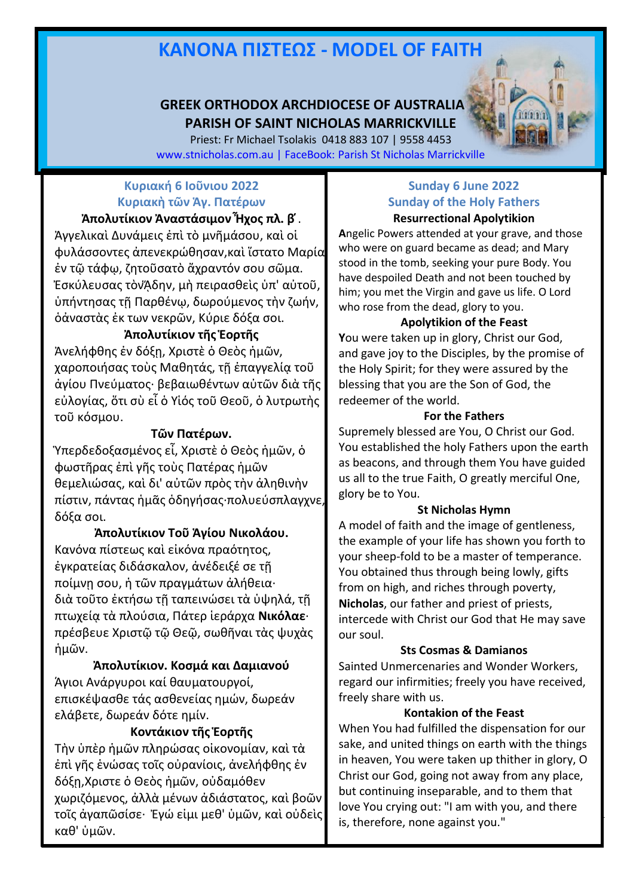# **ΚΑΝOΝΑ ΠIΣΤΕΩΣ - MODEL OF FAITH**

### **GREEK ORTHODOX ARCHDIOCESE OF AUSTRALIA PARISH OF SAINT NICHOLAS MARRICKVILLE**

Priest: Fr Michael Tsolakis 0418 883 107 | 9558 4453 [www.stnicholas.com.au](http://www.stnicholas.com.au/) | FaceBook: Parish St Nicholas Marrickville

#### **Κυριακή 6 Ioῦνιου 2022 Κυριακὴ τῶν Ἁγ. Πατέρων**

**Ἀπολυτίκιον Ἀναστάσιμον Ἦχος πλ. β ́**.

Ἀγγελικαὶ Δυνάμεις ἐπὶ τὸ μνῆμάσου, καὶ οἱ φυλάσσοντες ἀπενεκρώθησαν,καὶ ἵστατο Μαρία ἐν τῷ τάφῳ, ζητοῦσατὸ ἄχραντόν σου σῶμα. Ἐσκύλευσας τὸνἌδην, μὴ πειρασθεὶς ὑπ' αὐτοῦ, ὑπήντησας τῇ Παρθένῳ, δωρούμενος τὴν ζωήν, ὁἀναστὰς ἐκ των νεκρῶν, Κύριε δόξα σοι.

#### **Ἀπολυτίκιον τῆς Ἑορτῆς**

Ἀνελήφθης ἐν δόξῃ, Χριστὲ ὁ Θεὸς ἡμῶν, χαροποιήσας τοὺς Μαθητάς, τῇ ἐπαγγελίᾳ τοῦ ἁγίου Πνεύματος· βεβαιωθέντων αὐτῶν διὰ τῆς εὐλογίας, ὅτι σὺ εἶ ὁ Υἱός τοῦ Θεοῦ, ὁ λυτρωτὴς τοῦ κόσμου.

#### **Τῶν Πατέρων.**

Ὑπερδεδοξασμένος εἶ, Χριστὲ ὁ Θεὸς ἡμῶν, ὁ φωστῆρας ἐπὶ γῆς τοὺς Πατέρας ἡμῶν θεμελιώσας, καὶ δι' αὐτῶν πρὸς τὴν ἀληθινὴν πίστιν, πάντας ἡμᾶς ὁδηγήσας·πολυεύσπλαγχνε, δόξα σοι.

**Ἀπολυτίκιον Τοῦ Ἁγίου Νικολάου.** Κανόνα πίστεως καὶ εἰκόνα πραότητος, ένκρατείας διδάσκαλον, ἀνέδειξέ σε τῆ ποίμνῃ σου, ἡ τῶν πραγμάτων ἀλήθεια· διὰ τοῦτο ἐκτήσω τῇ ταπεινώσει τὰ ὑψηλά, τῇ πτωχείᾳ τὰ πλούσια, Πάτερ ἱεράρχα **Νικόλαε**· πρέσβευε Χριστῷ τῷ Θεῷ, σωθῆναι τὰς ψυχὰς ἡμῶν.

**Ἀπολυτίκιον. Κοσμά και Δαμιανού** Άγιοι Ανάργυροι καί θαυματουργοί, επισκέψασθε τάς ασθενείας ημών, δωρεάν ελάβετε, δωρεάν δότε ημίν.

#### **Κοντάκιον τῆς Ἑορτῆς**

Τὴν ὑπὲρ ἡμῶν πληρώσας οἰκονομίαν, καὶ τὰ ἐπὶ γῆς ἑνώσας τοῖς οὐρανίοις, ἀνελήφθης ἐν δόξῃ,Χριστε ὁ Θεὸς ἡμῶν, οὐδαμόθεν χωριζόμενος, ἀλλὰ μένων ἀδιάστατος, καὶ βοῶν τοῖς ἀγαπῶσίσε· Ἐγώ εἰμι μεθ' ὑμῶν, καὶ οὐδεὶς καθ' ὑμῶν.

.

#### **Sunday 6 June 2022 Sunday of the Holy Fathers**

#### **Resurrectional Apolytikion**

**A**ngelic Powers attended at your grave, and those who were on guard became as dead; and Mary stood in the tomb, seeking your pure Body. You have despoiled Death and not been touched by him; you met the Virgin and gave us life. O Lord who rose from the dead, glory to you.

#### **Apolytikion of the Feast**

**Y**ou were taken up in glory, Christ our God, and gave joy to the Disciples, by the promise of the Holy Spirit; for they were assured by the blessing that you are the Son of God, the redeemer of the world.

#### **For the Fathers**

Supremely blessed are You, O Christ our God. You established the holy Fathers upon the earth as beacons, and through them You have guided us all to the true Faith, O greatly merciful One, glory be to You.

#### **St Nicholas Hymn**

A model of faith and the image of gentleness, the example of your life has shown you forth to your sheep-fold to be a master of temperance. You obtained thus through being lowly, gifts from on high, and riches through poverty, **Nicholas**, our father and priest of priests, intercede with Christ our God that He may save our soul.

#### **Sts Cosmas & Damianos**

Sainted Unmercenaries and Wonder Workers, regard our infirmities; freely you have received, freely share with us.

#### **Kontakion of the Feast**

When You had fulfilled the dispensation for our sake, and united things on earth with the things in heaven, You were taken up thither in glory, O Christ our God, going not away from any place, but continuing inseparable, and to them that love You crying out: "I am with you, and there is, therefore, none against you."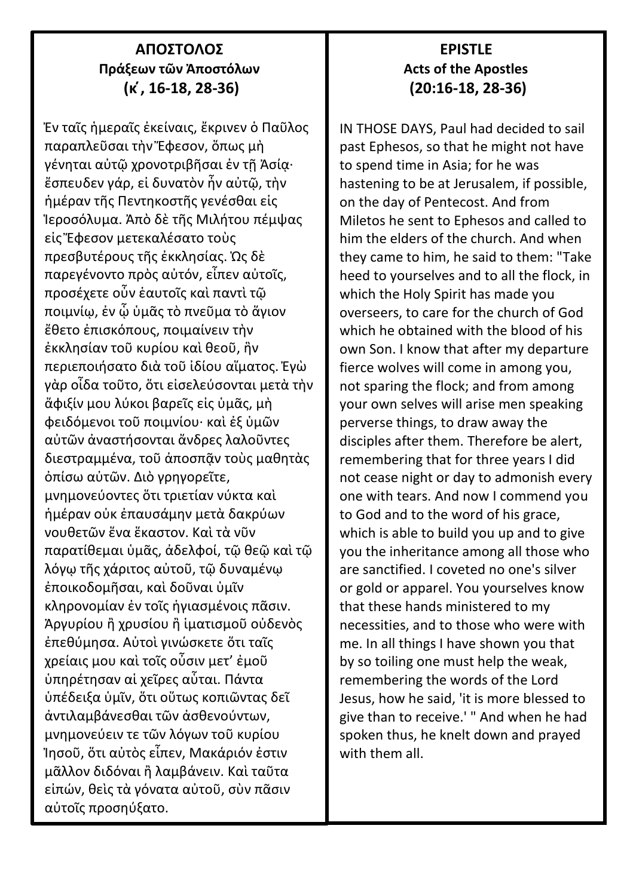### **ΑΠΟΣΤΟΛΟΣ Πράξεων τῶν Ἀποστόλων (κ ́, 16-18, 28-36)**

Ἐν ταῖς ἡμεραῖς ἐκείναις, ἔκρινεν ὁ Παῦλος παραπλεῦσαι τὴν Ἔφεσον, ὅπως μὴ γένηται αὐτῷ χρονοτριβῆσαι ἐν τῇ Ἀσίᾳ· ἔσπευδεν γάρ, εἰ δυνατὸν ἦν αὐτῷ, τὴν ἡμέραν τῆς Πεντηκοστῆς γενέσθαι εἰς Ἱεροσόλυμα. Ἀπὸ δὲ τῆς Μιλήτου πέμψας εἰς Ἔφεσον μετεκαλέσατο τοὺς πρεσβυτέρους τῆς ἐκκλησίας. Ὡς δὲ παρεγένοντο πρὸς αὐτόν, εἶπεν αὐτοῖς, προσέχετε οὖν ἑαυτοῖς καὶ παντὶ τῷ ποιμνίω, ἐν ὧ ὑμᾶς τὸ πνεῦμα τὸ ἄγιον ἔθετο ἐπισκόπους, ποιμαίνειν τὴν ἐκκλησίαν τοῦ κυρίου καὶ θεοῦ, ἣν περιεποιήσατο διὰ τοῦ ἰδίου αἵματος. Ἐγὼ γὰρ οἶδα τοῦτο, ὅτι εἰσελεύσονται μετὰ τὴν ἄφιξίν μου λύκοι βαρεῖς εἰς ὑμᾶς, μὴ φειδόμενοι τοῦ ποιμνίου· καὶ ἐξ ὑμῶν αὐτῶν ἀναστήσονται ἄνδρες λαλοῦντες διεστραμμένα, τοῦ ἀποσπᾷν τοὺς μαθητὰς ὀπίσω αὐτῶν. Διὸ γρηγορεῖτε, μνημονεύοντες ὅτι τριετίαν νύκτα καὶ ἡμέραν οὐκ ἐπαυσάμην μετὰ δακρύων νουθετῶν ἕνα ἕκαστον. Καὶ τὰ νῦν παρατίθεμαι ὑμᾶς, ἀδελφοί, τῷ θεῷ καὶ τῷ λόγῳ τῆς χάριτος αὐτοῦ, τῷ δυναμένῳ ἐποικοδομῆσαι, καὶ δοῦναι ὑμῖν κληρονομίαν ἐν τοῖς ἡγιασμένοις πᾶσιν. Ἀργυρίου ἢ χρυσίου ἢ ἱματισμοῦ οὐδενὸς ἐπεθύμησα. Αὐτοὶ γινώσκετε ὅτι ταῖς χρείαις μου καὶ τοῖς οὖσιν μετ' ἐμοῦ ὑπηρέτησαν αἱ χεῖρες αὗται. Πάντα ὑπέδειξα ὑμῖν, ὅτι οὕτως κοπιῶντας δεῖ ἀντιλαμβάνεσθαι τῶν ἀσθενούντων, μνημονεύειν τε τῶν λόγων τοῦ κυρίου Ἰησοῦ, ὅτι αὐτὸς εἶπεν, Μακάριόν ἐστιν μᾶλλον διδόναι ἢ λαμβάνειν. Καὶ ταῦτα εἰπών, θεὶς τὰ γόνατα αὐτοῦ, σὺν πᾶσιν αὐτοῖς προσηύξατο.

### **EPISTLE Acts of the Apostles (20:16-18, 28-36)**

IN THOSE DAYS, Paul had decided to sail past Ephesos, so that he might not have to spend time in Asia; for he was hastening to be at Jerusalem, if possible, on the day of Pentecost. And from Miletos he sent to Ephesos and called to him the elders of the church. And when they came to him, he said to them: "Take heed to yourselves and to all the flock, in which the Holy Spirit has made you overseers, to care for the church of God which he obtained with the blood of his own Son. I know that after my departure fierce wolves will come in among you, not sparing the flock; and from among your own selves will arise men speaking perverse things, to draw away the disciples after them. Therefore be alert, remembering that for three years I did not cease night or day to admonish every one with tears. And now I commend you to God and to the word of his grace, which is able to build you up and to give you the inheritance among all those who are sanctified. I coveted no one's silver or gold or apparel. You yourselves know that these hands ministered to my necessities, and to those who were with me. In all things I have shown you that by so toiling one must help the weak, remembering the words of the Lord Jesus, how he said, 'it is more blessed to give than to receive.' " And when he had spoken thus, he knelt down and prayed with them all.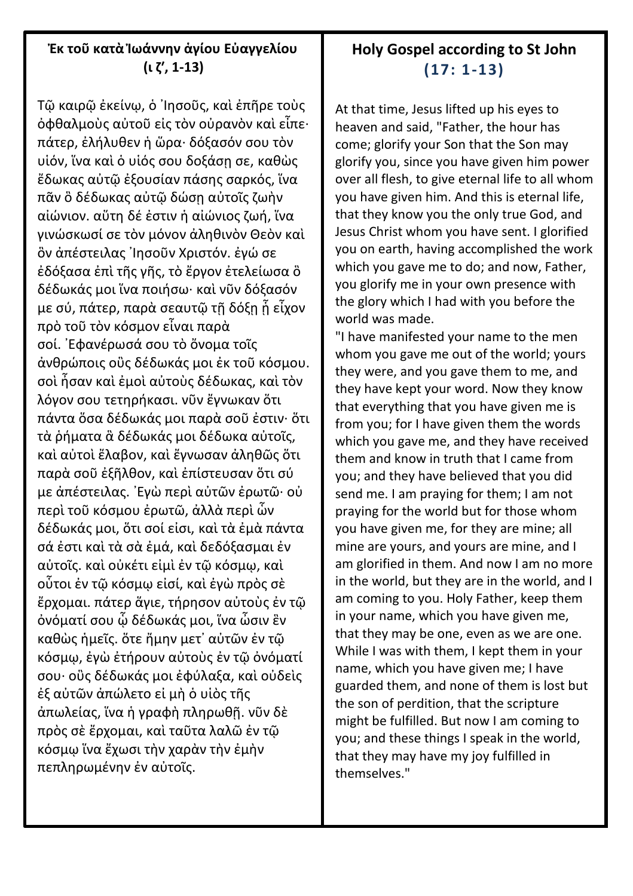### **Ἐκ τοῦ κατὰ Ἰωάννην ἁγίου Εὐαγγελίου (ι ζʹ, 1-13)**

Τῷ καιρῷ ἐκείνῳ, ὁ ᾿Ιησοῦς, καὶ ἐπῆρε τοὺς ὀφθαλμοὺς αὐτοῦ εἰς τὸν οὐρανὸν καὶ εἶπε· πάτερ, ἐλήλυθεν ἡ ὥρα· δόξασόν σου τὸν υἱόν, ἵνα καὶ ὁ υἱός σου δοξάσῃ σε, καθὼς ἔδωκας αὐτῷ ἐξουσίαν πάσης σαρκός, ἵνα πᾶν ὃ δέδωκας αὐτῶ δώση αὐτοῖς ζωὴν αἰώνιον. αὕτη δέ ἐστιν ἡ αἰώνιος ζωή, ἵνα γινώσκωσί σε τὸν μόνον ἀληθινὸν Θεὸν καὶ ὃν ἀπέστειλας ᾿Ιησοῦν Χριστόν. ἐγώ σε ἐδόξασα ἐπὶ τῆς γῆς, τὸ ἔργον ἐτελείωσα ὃ δέδωκάς μοι ἵνα ποιήσω· καὶ νῦν δόξασόν με σύ, πάτερ, παρὰ σεαυτῶ τῆ δόξη ἧ εἶχον πρὸ τοῦ τὸν κόσμον εἶναι παρὰ σοί. ᾿Εφανέρωσά σου τὸ ὄνομα τοῖς ἀνθρώποις οὓς δέδωκάς μοι ἐκ τοῦ κόσμου. σοὶ ἦσαν καὶ ἐμοὶ αὐτοὺς δέδωκας, καὶ τὸν λόγον σου τετηρήκασι. νῦν ἔγνωκαν ὅτι πάντα ὅσα δέδωκάς μοι παρὰ σοῦ ἐστιν· ὅτι τὰ ῥήματα ἃ δέδωκάς μοι δέδωκα αὐτοῖς, καὶ αὐτοὶ ἔλαβον, καὶ ἔγνωσαν ἀληθῶς ὅτι παρὰ σοῦ ἐξῆλθον, καὶ ἐπίστευσαν ὅτι σύ με ἀπέστειλας. ᾿Εγὼ περὶ αὐτῶν ἐρωτῶ· οὐ περὶ τοῦ κόσμου ἐρωτῶ, ἀλλὰ περὶ ὧν δέδωκάς μοι, ὅτι σοί εἰσι, καὶ τὰ ἐμὰ πάντα σά ἐστι καὶ τὰ σὰ ἐμά, καὶ δεδόξασμαι ἐν αὐτοῖς. καὶ οὐκέτι εἰμὶ ἐν τῷ κόσμῳ, καὶ οὗτοι ἐν τῷ κόσμῳ εἰσί, καὶ ἐγὼ πρὸς σὲ ἔρχομαι. πάτερ ἅγιε, τήρησον αὐτοὺς ἐν τῷ ὀνόματί σου ᾧ δέδωκάς μοι, ἵνα ὦσιν ἓν καθὼς ἡμεῖς. ὅτε ἤμην μετ᾽ αὐτῶν ἐν τῷ κόσμῳ, ἐγὼ ἐτήρουν αὐτοὺς ἐν τῷ ὀνόματί σου· οὓς δέδωκάς μοι ἐφύλαξα, καὶ οὐδεὶς ἐξ αὐτῶν ἀπώλετο εἰ μὴ ὁ υἱὸς τῆς ἀπωλείας, ἵνα ἡ γραφὴ πληρωθῇ. νῦν δὲ πρὸς σὲ ἔρχομαι, καὶ ταῦτα λαλῶ ἐν τῷ κόσμῳ ἵνα ἔχωσι τὴν χαρὰν τὴν ἐμὴν πεπληρωμένην ἐν αὐτοῖς.

### **Holy Gospel according to St John (17: 1-13)**

At that time, Jesus lifted up his eyes to heaven and said, "Father, the hour has come; glorify your Son that the Son may glorify you, since you have given him power over all flesh, to give eternal life to all whom you have given him. And this is eternal life, that they know you the only true God, and Jesus Christ whom you have sent. I glorified you on earth, having accomplished the work which you gave me to do; and now, Father, you glorify me in your own presence with the glory which I had with you before the world was made.

"I have manifested your name to the men whom you gave me out of the world; yours they were, and you gave them to me, and they have kept your word. Now they know that everything that you have given me is from you; for I have given them the words which you gave me, and they have received them and know in truth that I came from you; and they have believed that you did send me. I am praying for them; I am not praying for the world but for those whom you have given me, for they are mine; all mine are yours, and yours are mine, and I am glorified in them. And now I am no more in the world, but they are in the world, and I am coming to you. Holy Father, keep them in your name, which you have given me, that they may be one, even as we are one. While I was with them, I kept them in your name, which you have given me; I have guarded them, and none of them is lost but the son of perdition, that the scripture might be fulfilled. But now I am coming to you; and these things I speak in the world, that they may have my joy fulfilled in themselves."